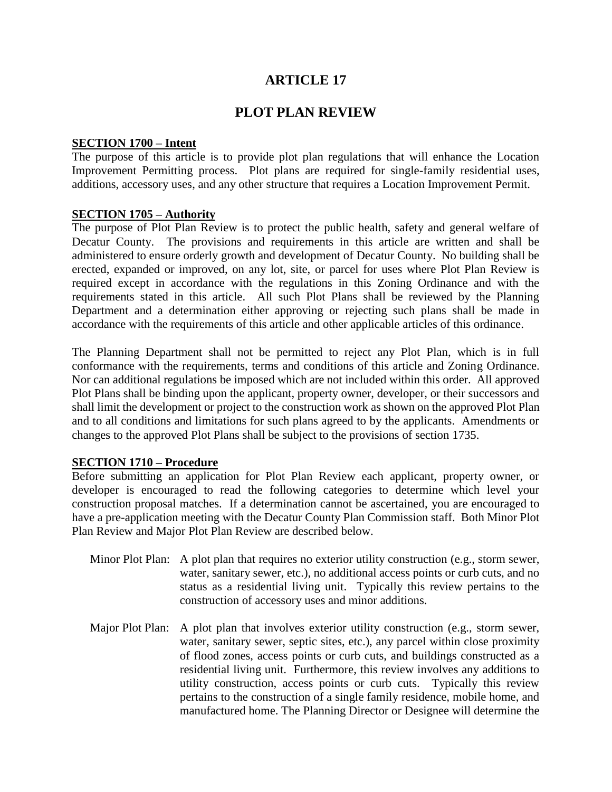# **ARTICLE 17**

## **PLOT PLAN REVIEW**

#### **SECTION 1700 – Intent**

The purpose of this article is to provide plot plan regulations that will enhance the Location Improvement Permitting process. Plot plans are required for single-family residential uses, additions, accessory uses, and any other structure that requires a Location Improvement Permit.

#### **SECTION 1705 – Authority**

The purpose of Plot Plan Review is to protect the public health, safety and general welfare of Decatur County. The provisions and requirements in this article are written and shall be administered to ensure orderly growth and development of Decatur County. No building shall be erected, expanded or improved, on any lot, site, or parcel for uses where Plot Plan Review is required except in accordance with the regulations in this Zoning Ordinance and with the requirements stated in this article. All such Plot Plans shall be reviewed by the Planning Department and a determination either approving or rejecting such plans shall be made in accordance with the requirements of this article and other applicable articles of this ordinance.

The Planning Department shall not be permitted to reject any Plot Plan, which is in full conformance with the requirements, terms and conditions of this article and Zoning Ordinance. Nor can additional regulations be imposed which are not included within this order. All approved Plot Plans shall be binding upon the applicant, property owner, developer, or their successors and shall limit the development or project to the construction work as shown on the approved Plot Plan and to all conditions and limitations for such plans agreed to by the applicants. Amendments or changes to the approved Plot Plans shall be subject to the provisions of section 1735.

#### **SECTION 1710 – Procedure**

Before submitting an application for Plot Plan Review each applicant, property owner, or developer is encouraged to read the following categories to determine which level your construction proposal matches. If a determination cannot be ascertained, you are encouraged to have a pre-application meeting with the Decatur County Plan Commission staff. Both Minor Plot Plan Review and Major Plot Plan Review are described below.

- Minor Plot Plan: A plot plan that requires no exterior utility construction (e.g., storm sewer, water, sanitary sewer, etc.), no additional access points or curb cuts, and no status as a residential living unit. Typically this review pertains to the construction of accessory uses and minor additions.
- Major Plot Plan: A plot plan that involves exterior utility construction (e.g., storm sewer, water, sanitary sewer, septic sites, etc.), any parcel within close proximity of flood zones, access points or curb cuts, and buildings constructed as a residential living unit. Furthermore, this review involves any additions to utility construction, access points or curb cuts. Typically this review pertains to the construction of a single family residence, mobile home, and manufactured home. The Planning Director or Designee will determine the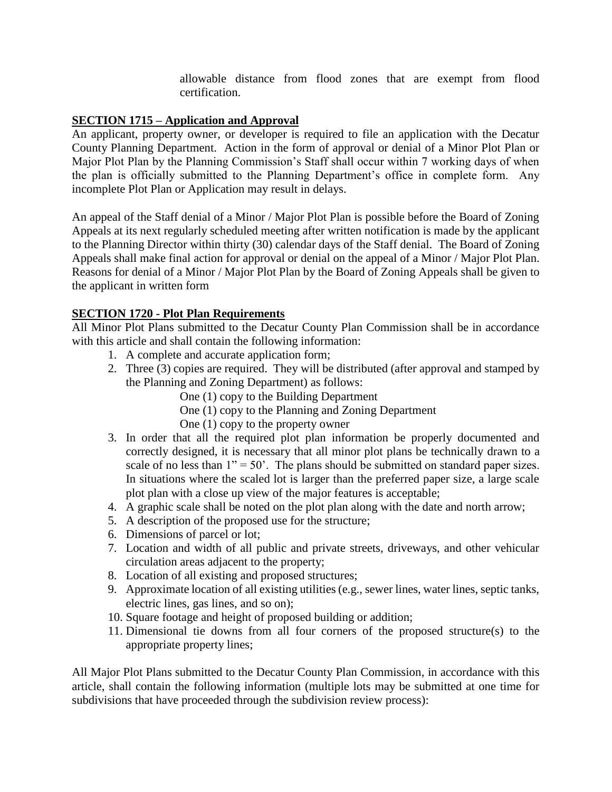allowable distance from flood zones that are exempt from flood certification.

### **SECTION 1715 – Application and Approval**

An applicant, property owner, or developer is required to file an application with the Decatur County Planning Department. Action in the form of approval or denial of a Minor Plot Plan or Major Plot Plan by the Planning Commission's Staff shall occur within 7 working days of when the plan is officially submitted to the Planning Department's office in complete form. Any incomplete Plot Plan or Application may result in delays.

An appeal of the Staff denial of a Minor / Major Plot Plan is possible before the Board of Zoning Appeals at its next regularly scheduled meeting after written notification is made by the applicant to the Planning Director within thirty (30) calendar days of the Staff denial. The Board of Zoning Appeals shall make final action for approval or denial on the appeal of a Minor / Major Plot Plan. Reasons for denial of a Minor / Major Plot Plan by the Board of Zoning Appeals shall be given to the applicant in written form

## **SECTION 1720 - Plot Plan Requirements**

All Minor Plot Plans submitted to the Decatur County Plan Commission shall be in accordance with this article and shall contain the following information:

- 1. A complete and accurate application form;
- 2. Three (3) copies are required. They will be distributed (after approval and stamped by the Planning and Zoning Department) as follows:
	- One (1) copy to the Building Department
	- One (1) copy to the Planning and Zoning Department
	- One (1) copy to the property owner
- 3. In order that all the required plot plan information be properly documented and correctly designed, it is necessary that all minor plot plans be technically drawn to a scale of no less than  $1" = 50'$ . The plans should be submitted on standard paper sizes. In situations where the scaled lot is larger than the preferred paper size, a large scale plot plan with a close up view of the major features is acceptable;
- 4. A graphic scale shall be noted on the plot plan along with the date and north arrow;
- 5. A description of the proposed use for the structure;
- 6. Dimensions of parcel or lot;
- 7. Location and width of all public and private streets, driveways, and other vehicular circulation areas adjacent to the property;
- 8. Location of all existing and proposed structures;
- 9. Approximate location of all existing utilities (e.g., sewer lines, water lines, septic tanks, electric lines, gas lines, and so on);
- 10. Square footage and height of proposed building or addition;
- 11. Dimensional tie downs from all four corners of the proposed structure(s) to the appropriate property lines;

All Major Plot Plans submitted to the Decatur County Plan Commission, in accordance with this article, shall contain the following information (multiple lots may be submitted at one time for subdivisions that have proceeded through the subdivision review process):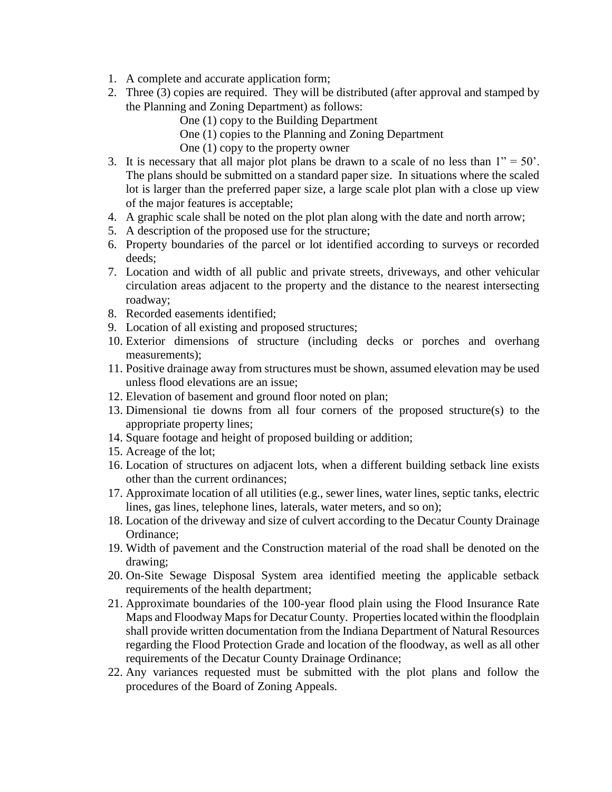- 1. A complete and accurate application form;
- 2. Three (3) copies are required. They will be distributed (after approval and stamped by the Planning and Zoning Department) as follows:
	- One (1) copy to the Building Department
	- One (1) copies to the Planning and Zoning Department
	- One (1) copy to the property owner
- 3. It is necessary that all major plot plans be drawn to a scale of no less than  $1" = 50'$ . The plans should be submitted on a standard paper size. In situations where the scaled lot is larger than the preferred paper size, a large scale plot plan with a close up view of the major features is acceptable;
- 4. A graphic scale shall be noted on the plot plan along with the date and north arrow;
- 5. A description of the proposed use for the structure;
- 6. Property boundaries of the parcel or lot identified according to surveys or recorded deeds;
- 7. Location and width of all public and private streets, driveways, and other vehicular circulation areas adjacent to the property and the distance to the nearest intersecting roadway;
- 8. Recorded easements identified;
- 9. Location of all existing and proposed structures;
- 10. Exterior dimensions of structure (including decks or porches and overhang measurements);
- 11. Positive drainage away from structures must be shown, assumed elevation may be used unless flood elevations are an issue;
- 12. Elevation of basement and ground floor noted on plan;
- 13. Dimensional tie downs from all four corners of the proposed structure(s) to the appropriate property lines;
- 14. Square footage and height of proposed building or addition;
- 15. Acreage of the lot;
- 16. Location of structures on adjacent lots, when a different building setback line exists other than the current ordinances;
- 17. Approximate location of all utilities (e.g., sewer lines, water lines, septic tanks, electric lines, gas lines, telephone lines, laterals, water meters, and so on);
- 18. Location of the driveway and size of culvert according to the Decatur County Drainage Ordinance;
- 19. Width of pavement and the Construction material of the road shall be denoted on the drawing;
- 20. On-Site Sewage Disposal System area identified meeting the applicable setback requirements of the health department;
- 21. Approximate boundaries of the 100-year flood plain using the Flood Insurance Rate Maps and Floodway Maps for Decatur County. Properties located within the floodplain shall provide written documentation from the Indiana Department of Natural Resources regarding the Flood Protection Grade and location of the floodway, as well as all other requirements of the Decatur County Drainage Ordinance;
- 22. Any variances requested must be submitted with the plot plans and follow the procedures of the Board of Zoning Appeals.